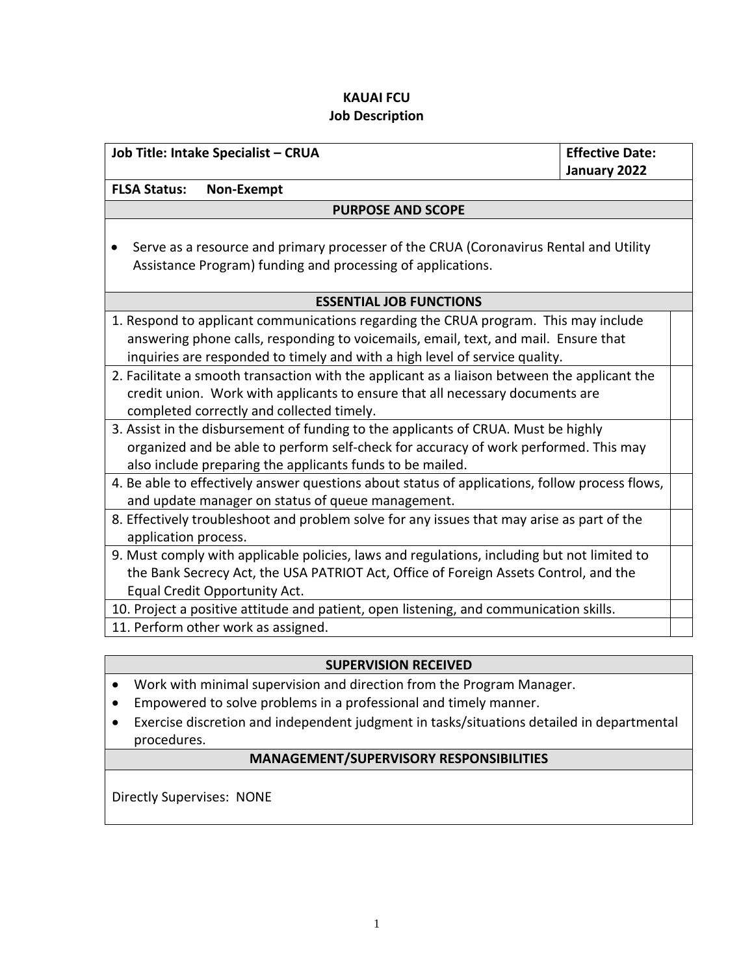# **KAUAI FCU Job Description**

| Job Title: Intake Specialist - CRUA                                                            | <b>Effective Date:</b> |
|------------------------------------------------------------------------------------------------|------------------------|
|                                                                                                | January 2022           |
| <b>FLSA Status:</b><br>Non-Exempt                                                              |                        |
| <b>PURPOSE AND SCOPE</b>                                                                       |                        |
|                                                                                                |                        |
| Serve as a resource and primary processer of the CRUA (Coronavirus Rental and Utility          |                        |
| Assistance Program) funding and processing of applications.                                    |                        |
|                                                                                                |                        |
| <b>ESSENTIAL JOB FUNCTIONS</b>                                                                 |                        |
| 1. Respond to applicant communications regarding the CRUA program. This may include            |                        |
| answering phone calls, responding to voicemails, email, text, and mail. Ensure that            |                        |
| inquiries are responded to timely and with a high level of service quality.                    |                        |
| 2. Facilitate a smooth transaction with the applicant as a liaison between the applicant the   |                        |
| credit union. Work with applicants to ensure that all necessary documents are                  |                        |
| completed correctly and collected timely.                                                      |                        |
| 3. Assist in the disbursement of funding to the applicants of CRUA. Must be highly             |                        |
| organized and be able to perform self-check for accuracy of work performed. This may           |                        |
| also include preparing the applicants funds to be mailed.                                      |                        |
| 4. Be able to effectively answer questions about status of applications, follow process flows, |                        |
| and update manager on status of queue management.                                              |                        |
| 8. Effectively troubleshoot and problem solve for any issues that may arise as part of the     |                        |
| application process.                                                                           |                        |
| 9. Must comply with applicable policies, laws and regulations, including but not limited to    |                        |
| the Bank Secrecy Act, the USA PATRIOT Act, Office of Foreign Assets Control, and the           |                        |
| Equal Credit Opportunity Act.                                                                  |                        |
| 10. Project a positive attitude and patient, open listening, and communication skills.         |                        |
| 11. Perform other work as assigned.                                                            |                        |

## **SUPERVISION RECEIVED**

- Work with minimal supervision and direction from the Program Manager.
- Empowered to solve problems in a professional and timely manner.
- Exercise discretion and independent judgment in tasks/situations detailed in departmental procedures.

## **MANAGEMENT/SUPERVISORY RESPONSIBILITIES**

Directly Supervises: NONE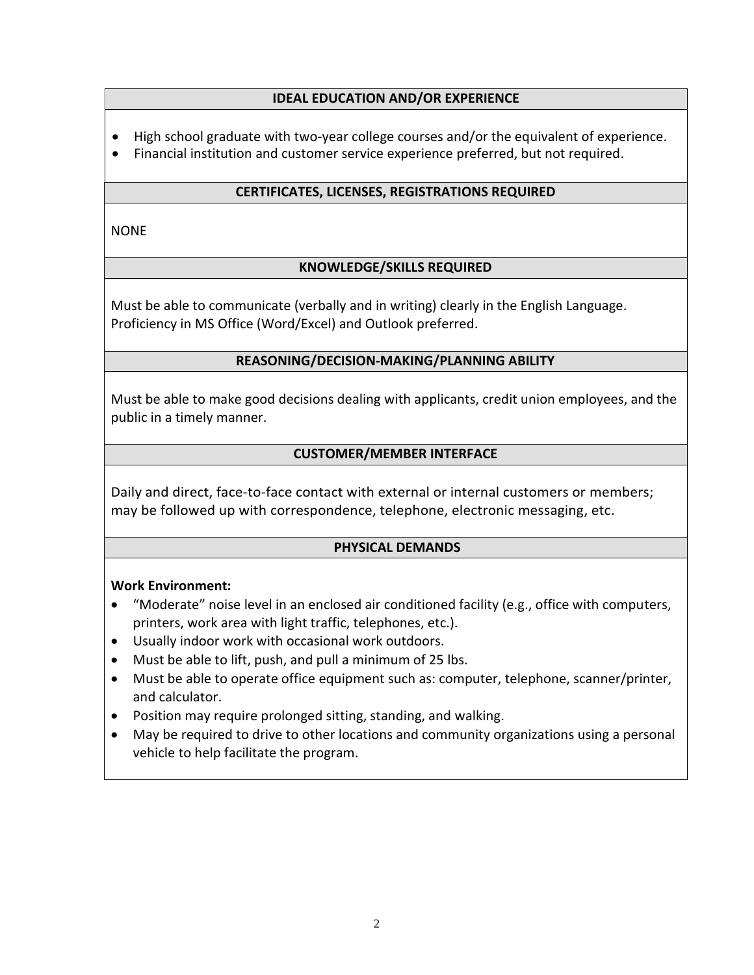## **IDEAL EDUCATION AND/OR EXPERIENCE**

- High school graduate with two-year college courses and/or the equivalent of experience.
- Financial institution and customer service experience preferred, but not required.

# **CERTIFICATES, LICENSES, REGISTRATIONS REQUIRED**

NONE

# **KNOWLEDGE/SKILLS REQUIRED**

Must be able to communicate (verbally and in writing) clearly in the English Language. Proficiency in MS Office (Word/Excel) and Outlook preferred.

## **REASONING/DECISION-MAKING/PLANNING ABILITY**

Must be able to make good decisions dealing with applicants, credit union employees, and the public in a timely manner.

## **CUSTOMER/MEMBER INTERFACE**

Daily and direct, face-to-face contact with external or internal customers or members; may be followed up with correspondence, telephone, electronic messaging, etc.

## **PHYSICAL DEMANDS**

## **Work Environment:**

- "Moderate" noise level in an enclosed air conditioned facility (e.g., office with computers, printers, work area with light traffic, telephones, etc.).
- Usually indoor work with occasional work outdoors.
- Must be able to lift, push, and pull a minimum of 25 lbs.
- Must be able to operate office equipment such as: computer, telephone, scanner/printer, and calculator.
- Position may require prolonged sitting, standing, and walking.
- May be required to drive to other locations and community organizations using a personal vehicle to help facilitate the program.